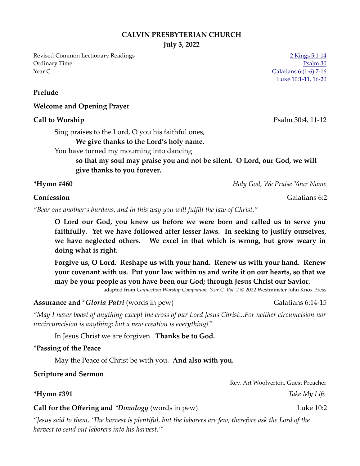#### **CALVIN PRESBYTERIAN CHURCH**

**July 3, 2022**

Revised Common Lectionary Readings [2 Kings 5:1-14](https://www.biblegateway.com/passage/?search=2+Kings+5%3A1-14&version=NRSVUE) Ordinary Time [Psalm 30](https://www.biblegateway.com/passage/?search=Psalm+30&version=NRSVUE) Year C Galatians  $6: (1-6)$  7-16

[Luke 10:1-11, 16-20](https://www.biblegateway.com/passage/?search=Luke+10%3A1-11%2C+16-20&version=NRSVUE)

### **Prelude**

### **Welcome and Opening Prayer**

#### **Call to Worship** Psalm 30:4, 11-12

Sing praises to the Lord, O you his faithful ones,

**We give thanks to the Lord's holy name.**

You have turned my mourning into dancing

**so that my soul may praise you and not be silent. O Lord, our God, we will give thanks to you forever.**

**\*Hymn #460** *Holy God, We Praise Your Name*

**Confession** Galatians 6:2

*"Bear one another's burdens, and in this way you will fulfill the law of Christ."*

**O Lord our God, you knew us before we were born and called us to serve you faithfully. Yet we have followed after lesser laws. In seeking to justify ourselves, we have neglected others. We excel in that which is wrong, but grow weary in doing what is right.**

**Forgive us, O Lord. Reshape us with your hand. Renew us with your hand. Renew your covenant with us. Put your law within us and write it on our hearts, so that we may be your people as you have been our God; through Jesus Christ our Savior.**

adapted from *Connection Worship Companion, Year C, Vol. 2* © 2022 Westminster John Knox Press

**Assurance and \****Gloria Patri* (words in pew) Galatians 6:14-15

*"May I never boast of anything except the cross of our Lord Jesus Christ...For neither circumcision nor uncircumcision is anything; but a new creation is everything!"*

In Jesus Christ we are forgiven. **Thanks be to God.**

### **\*Passing of the Peace**

May the Peace of Christ be with you. **And also with you.**

#### **Scripture and Sermon**

Rev. Art Woolverton, Guest Preacher **\*Hymn #391** *Take My Life* 

# **Call for the Offering and** *\*Doxology* (words in pew) Luke 10:2

*"Jesus said to them, 'The harvest is plentiful, but the laborers are few; therefore ask the Lord of the harvest to send out laborers into his harvest.'"*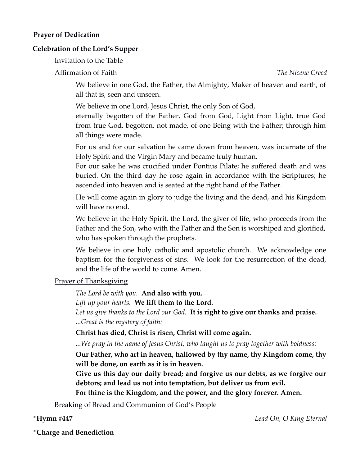### **Prayer of Dedication**

### **Celebration of the Lord's Supper**

### Invitation to the Table

# Affirmation of Faith *The Nicene Creed*

We believe in one God, the Father, the Almighty, Maker of heaven and earth, of all that is, seen and unseen.

We believe in one Lord, Jesus Christ, the only Son of God,

eternally begotten of the Father, God from God, Light from Light, true God from true God, begotten, not made, of one Being with the Father; through him all things were made.

For us and for our salvation he came down from heaven, was incarnate of the Holy Spirit and the Virgin Mary and became truly human.

For our sake he was crucified under Pontius Pilate; he suffered death and was buried. On the third day he rose again in accordance with the Scriptures; he ascended into heaven and is seated at the right hand of the Father.

He will come again in glory to judge the living and the dead, and his Kingdom will have no end.

We believe in the Holy Spirit, the Lord, the giver of life, who proceeds from the Father and the Son, who with the Father and the Son is worshiped and glorified, who has spoken through the prophets.

We believe in one holy catholic and apostolic church. We acknowledge one baptism for the forgiveness of sins. We look for the resurrection of the dead, and the life of the world to come. Amen.

# Prayer of Thanksgiving

*The Lord be with you.* **And also with you.**

*Lift up your hearts.* **We lift them to the Lord.**

*Let us give thanks to the Lord our God.* **It is right to give our thanks and praise.** *...Great is the mystery of faith:*

**Christ has died, Christ is risen, Christ will come again.**

*...We pray in the name of Jesus Christ, who taught us to pray together with boldness:*

**Our Father, who art in heaven, hallowed by thy name, thy Kingdom come, thy will be done, on earth as it is in heaven.**

**Give us this day our daily bread; and forgive us our debts, as we forgive our debtors; and lead us not into temptation, but deliver us from evil.**

**For thine is the Kingdom, and the power, and the glory forever. Amen.**

Breaking of Bread and Communion of God's People

**\*Hymn #447** *Lead On, O King Eternal*

**\*Charge and Benediction**